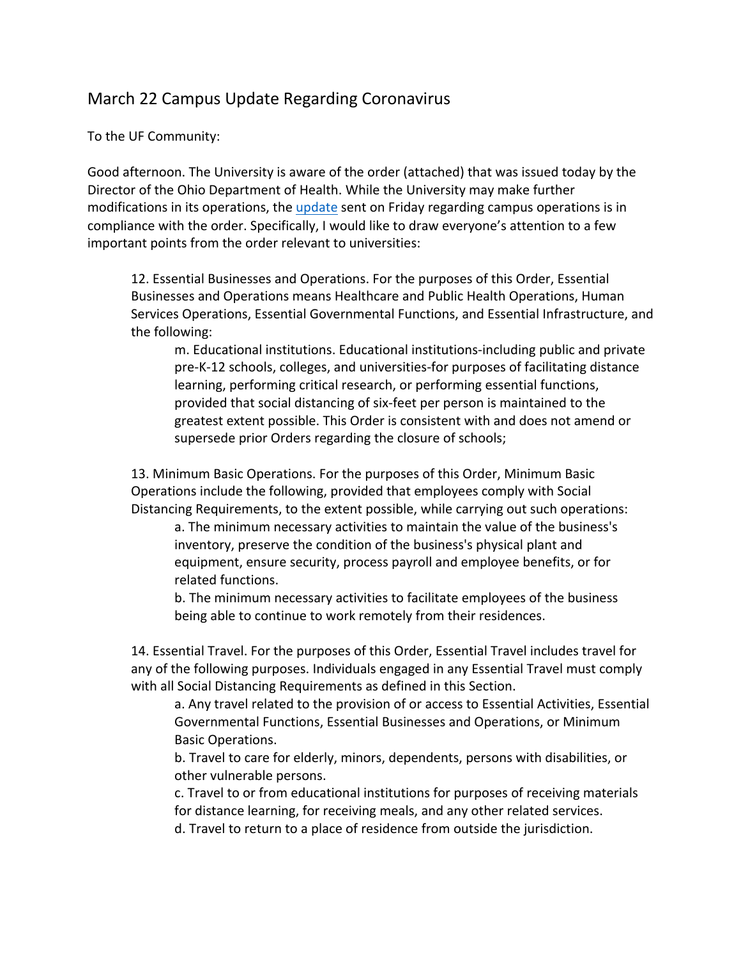## March 22 Campus Update Regarding Coronavirus

To the UF Community:

Good afternoon. The University is aware of the order (attached) that was issued today by the Director of the Ohio Department of Health. While the University may make further modifications in its operations, the update sent on Friday regarding campus operations is in compliance with the order. Specifically, I would like to draw everyone's attention to a few important points from the order relevant to universities:

12. Essential Businesses and Operations. For the purposes of this Order, Essential Businesses and Operations means Healthcare and Public Health Operations, Human Services Operations, Essential Governmental Functions, and Essential Infrastructure, and the following:

m. Educational institutions. Educational institutions-including public and private pre-K-12 schools, colleges, and universities-for purposes of facilitating distance learning, performing critical research, or performing essential functions, provided that social distancing of six-feet per person is maintained to the greatest extent possible. This Order is consistent with and does not amend or supersede prior Orders regarding the closure of schools;

13. Minimum Basic Operations. For the purposes of this Order, Minimum Basic Operations include the following, provided that employees comply with Social Distancing Requirements, to the extent possible, while carrying out such operations:

a. The minimum necessary activities to maintain the value of the business's inventory, preserve the condition of the business's physical plant and equipment, ensure security, process payroll and employee benefits, or for related functions.

b. The minimum necessary activities to facilitate employees of the business being able to continue to work remotely from their residences.

14. Essential Travel. For the purposes of this Order, Essential Travel includes travel for any of the following purposes. Individuals engaged in any Essential Travel must comply with all Social Distancing Requirements as defined in this Section.

a. Any travel related to the provision of or access to Essential Activities, Essential Governmental Functions, Essential Businesses and Operations, or Minimum Basic Operations.

b. Travel to care for elderly, minors, dependents, persons with disabilities, or other vulnerable persons.

c. Travel to or from educational institutions for purposes of receiving materials for distance learning, for receiving meals, and any other related services.

d. Travel to return to a place of residence from outside the jurisdiction.